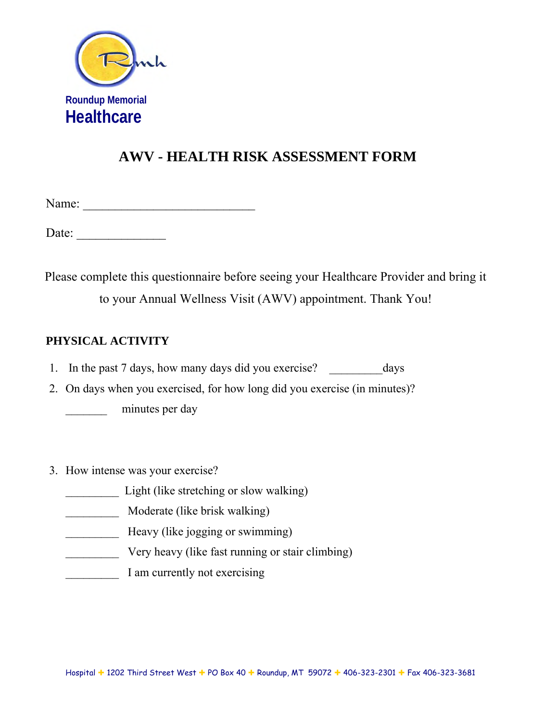

Name: \_\_\_\_\_\_\_\_\_\_\_\_\_\_\_\_\_\_\_\_\_\_\_\_\_\_\_

Date:

Please complete this questionnaire before seeing your Healthcare Provider and bring it to your Annual Wellness Visit (AWV) appointment. Thank You!

### **PHYSICAL ACTIVITY**

1. In the past 7 days, how many days did you exercise? days

2. On days when you exercised, for how long did you exercise (in minutes)?

minutes per day

- 3. How intense was your exercise?
	- Light (like stretching or slow walking)
	- \_\_\_\_\_\_\_\_\_ Moderate (like brisk walking)
	- Heavy (like jogging or swimming)
	- **EXECUTE:** Very heavy (like fast running or stair climbing)
	- I am currently not exercising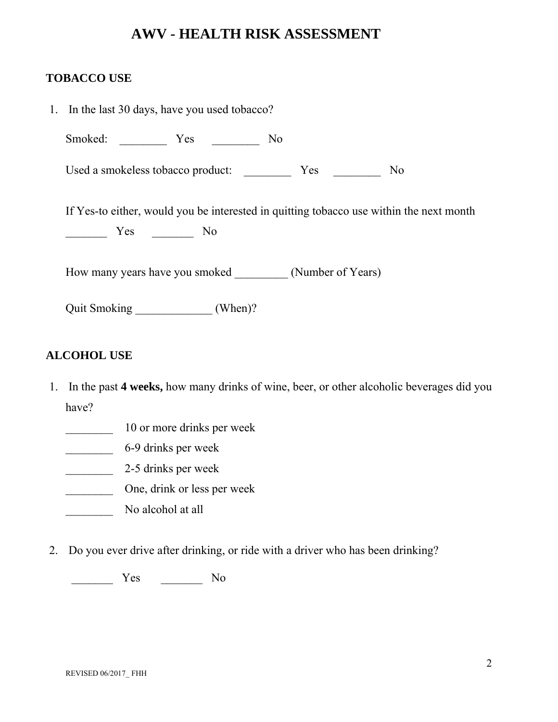#### **TOBACCO USE**

| 1. In the last 30 days, have you used tobacco?                                          |  |  |  |  |  |  |  |  |
|-----------------------------------------------------------------------------------------|--|--|--|--|--|--|--|--|
| Smoked: Yes<br>N <sub>0</sub>                                                           |  |  |  |  |  |  |  |  |
| Used a smokeless tobacco product:<br>N <sub>0</sub>                                     |  |  |  |  |  |  |  |  |
| If Yes-to either, would you be interested in quitting tobacco use within the next month |  |  |  |  |  |  |  |  |
| No Nesta No                                                                             |  |  |  |  |  |  |  |  |
| How many years have you smoked (Number of Years)                                        |  |  |  |  |  |  |  |  |
|                                                                                         |  |  |  |  |  |  |  |  |

#### **ALCOHOL USE**

- 1. In the past **4 weeks,** how many drinks of wine, beer, or other alcoholic beverages did you have?
	- 10 or more drinks per week
	- <sup>6-9</sup> drinks per week
	- \_\_\_\_\_\_\_\_ 2-5 drinks per week
	- \_\_\_\_\_\_\_\_ One, drink or less per week
	- No alcohol at all
- 2. Do you ever drive after drinking, or ride with a driver who has been drinking?

\_\_\_\_\_\_\_ Yes \_\_\_\_\_\_\_ No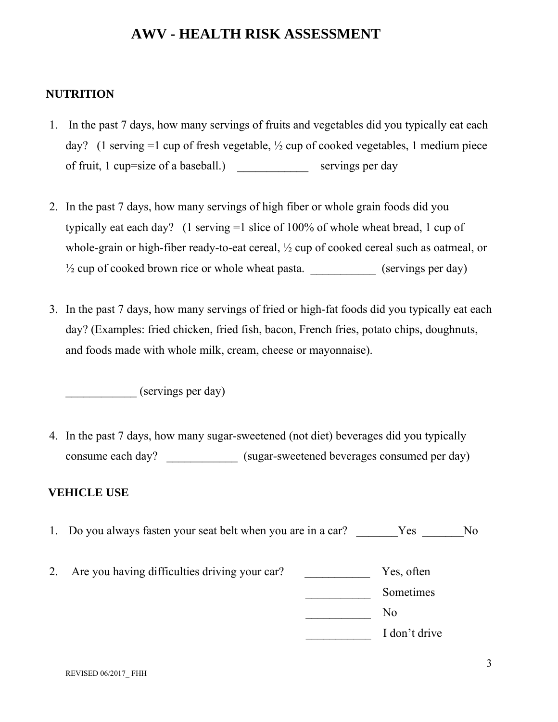#### **NUTRITION**

- 1. In the past 7 days, how many servings of fruits and vegetables did you typically eat each day? (1 serving  $=1$  cup of fresh vegetable,  $\frac{1}{2}$  cup of cooked vegetables, 1 medium piece of fruit, 1 cup=size of a baseball.) servings per day
- 2. In the past 7 days, how many servings of high fiber or whole grain foods did you typically eat each day? (1 serving =1 slice of 100% of whole wheat bread, 1 cup of whole-grain or high-fiber ready-to-eat cereal, ½ cup of cooked cereal such as oatmeal, or ½ cup of cooked brown rice or whole wheat pasta. \_\_\_\_\_\_\_\_\_\_\_ (servings per day)
- 3. In the past 7 days, how many servings of fried or high-fat foods did you typically eat each day? (Examples: fried chicken, fried fish, bacon, French fries, potato chips, doughnuts, and foods made with whole milk, cream, cheese or mayonnaise).

\_\_\_\_\_\_\_\_\_\_\_\_ (servings per day)

4. In the past 7 days, how many sugar-sweetened (not diet) beverages did you typically consume each day? <br> (sugar-sweetened beverages consumed per day)

#### **VEHICLE USE**

- 1. Do you always fasten your seat belt when you are in a car? Yes No
- 2. Are you having difficulties driving your car? Yes, often

\_\_\_\_\_\_\_\_\_\_\_ Sometimes

\_\_\_\_\_\_\_\_\_\_\_ No

\_\_\_\_\_\_\_\_\_\_\_ I don't drive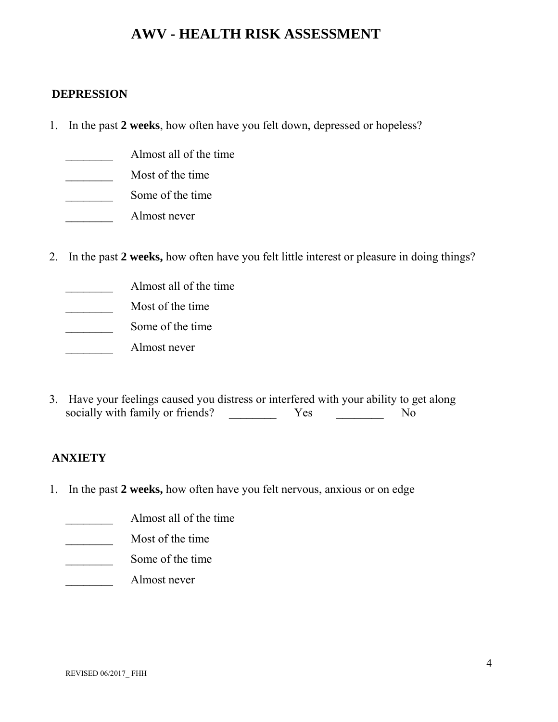#### **DEPRESSION**

- 1. In the past **2 weeks**, how often have you felt down, depressed or hopeless?
	- \_\_\_\_\_\_\_\_ Almost all of the time
	- \_\_\_\_\_\_\_\_ Most of the time
	- Some of the time
	- \_\_\_\_\_\_\_\_ Almost never
- 2. In the past **2 weeks,** how often have you felt little interest or pleasure in doing things?
	- \_\_\_\_\_\_\_\_ Almost all of the time
	- \_\_\_\_\_\_\_\_ Most of the time
	- Some of the time
	- \_\_\_\_\_\_\_\_ Almost never
- 3. Have your feelings caused you distress or interfered with your ability to get along socially with family or friends? The Moscovich Moscovich Moscovich Moscovich No

#### **ANXIETY**

- 1. In the past **2 weeks,** how often have you felt nervous, anxious or on edge
	- **Almost all of the time**
	- \_\_\_\_\_\_\_\_ Most of the time
	- Some of the time
	- \_\_\_\_\_\_\_\_ Almost never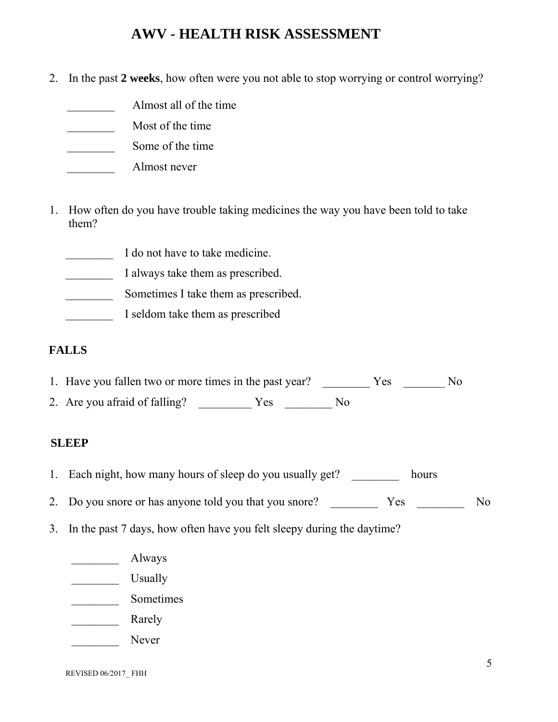2. In the past **2 weeks**, how often were you not able to stop worrying or control worrying?

- \_\_\_\_\_\_\_\_ Almost all of the time
- \_\_\_\_\_\_\_\_ Most of the time
- Some of the time
- \_\_\_\_\_\_\_\_ Almost never
- 1. How often do you have trouble taking medicines the way you have been told to take them?
	- I do not have to take medicine.
	- \_\_\_\_\_\_\_\_ I always take them as prescribed.
	- Sometimes I take them as prescribed.
	- **I** seldom take them as prescribed

#### **FALLS**

- 1. Have you fallen two or more times in the past year? \_\_\_\_\_\_\_\_\_\_ Yes \_\_\_\_\_\_\_\_ No
- 2. Are you afraid of falling? \_\_\_\_\_\_\_\_\_\_\_ Yes \_\_\_\_\_\_\_\_\_ No

#### **SLEEP**

- 1. Each night, how many hours of sleep do you usually get? hours
- 2. Do you snore or has anyone told you that you snore? The Yes No
- 3. In the past 7 days, how often have you felt sleepy during the daytime?
	- Always
	- \_\_\_\_\_\_\_\_ Usually
	- \_\_\_\_\_\_\_\_ Sometimes
	- **Example 1** Rarely
	- \_\_\_\_\_\_\_\_ Never